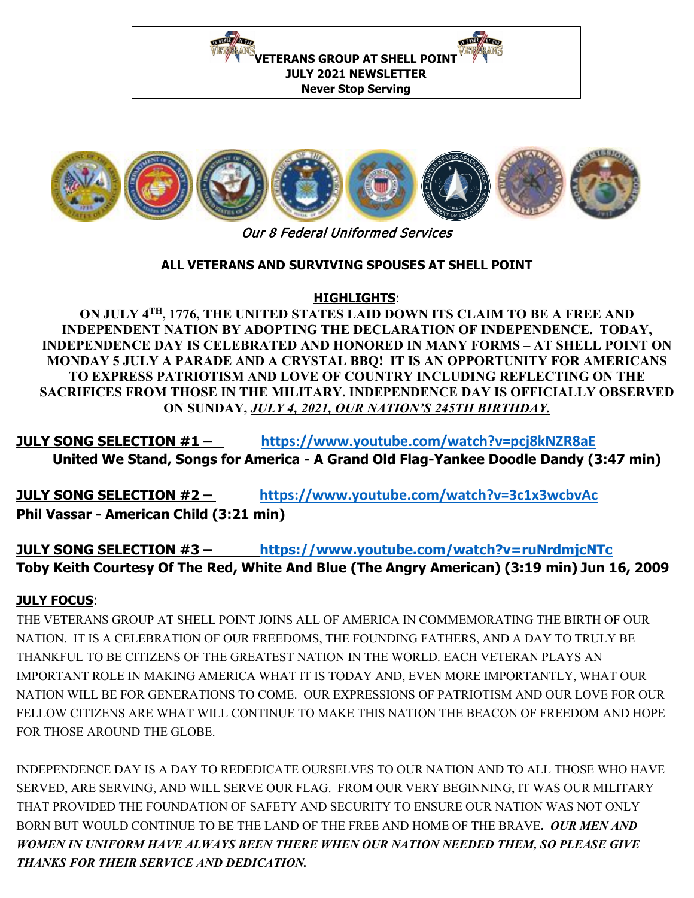



# Our 8 Federal Uniformed Services

# **ALL VETERANS AND SURVIVING SPOUSES AT SHELL POINT**

## **HIGHLIGHTS**:

**ON JULY 4TH, 1776, THE UNITED STATES LAID DOWN ITS CLAIM TO BE A FREE AND INDEPENDENT NATION BY ADOPTING THE DECLARATION OF INDEPENDENCE. TODAY, INDEPENDENCE DAY IS CELEBRATED AND HONORED IN MANY FORMS – AT SHELL POINT ON MONDAY 5 JULY A PARADE AND A CRYSTAL BBQ! IT IS AN OPPORTUNITY FOR AMERICANS TO EXPRESS PATRIOTISM AND LOVE OF COUNTRY INCLUDING REFLECTING ON THE SACRIFICES FROM THOSE IN THE MILITARY. INDEPENDENCE DAY IS OFFICIALLY OBSERVED ON SUNDAY,** *JULY 4, 2021, OUR NATION'S 245TH BIRTHDAY.*

**JULY SONG SELECTION #1 – <https://www.youtube.com/watch?v=pcj8kNZR8aE> United We Stand, Songs for America - A Grand Old Flag-Yankee Doodle Dandy (3:47 min)**

**JULY SONG SELECTION #2 – <https://www.youtube.com/watch?v=3c1x3wcbvAc> Phil Vassar - American Child (3:21 min)**

**JULY SONG SELECTION #3 – <https://www.youtube.com/watch?v=ruNrdmjcNTc> Toby Keith Courtesy Of The Red, White And Blue (The Angry American) (3:19 min) Jun 16, 2009**

## **JULY FOCUS**:

THE VETERANS GROUP AT SHELL POINT JOINS ALL OF AMERICA IN COMMEMORATING THE BIRTH OF OUR NATION. IT IS A CELEBRATION OF OUR FREEDOMS, THE FOUNDING FATHERS, AND A DAY TO TRULY BE THANKFUL TO BE CITIZENS OF THE GREATEST NATION IN THE WORLD. EACH VETERAN PLAYS AN IMPORTANT ROLE IN MAKING AMERICA WHAT IT IS TODAY AND, EVEN MORE IMPORTANTLY, WHAT OUR NATION WILL BE FOR GENERATIONS TO COME. OUR EXPRESSIONS OF PATRIOTISM AND OUR LOVE FOR OUR FELLOW CITIZENS ARE WHAT WILL CONTINUE TO MAKE THIS NATION THE BEACON OF FREEDOM AND HOPE FOR THOSE AROUND THE GLOBE.

INDEPENDENCE DAY IS A DAY TO REDEDICATE OURSELVES TO OUR NATION AND TO ALL THOSE WHO HAVE SERVED, ARE SERVING, AND WILL SERVE OUR FLAG. FROM OUR VERY BEGINNING, IT WAS OUR MILITARY THAT PROVIDED THE FOUNDATION OF SAFETY AND SECURITY TO ENSURE OUR NATION WAS NOT ONLY BORN BUT WOULD CONTINUE TO BE THE LAND OF THE FREE AND HOME OF THE BRAVE**.** *OUR MEN AND WOMEN IN UNIFORM HAVE ALWAYS BEEN THERE WHEN OUR NATION NEEDED THEM, SO PLEASE GIVE THANKS FOR THEIR SERVICE AND DEDICATION.*